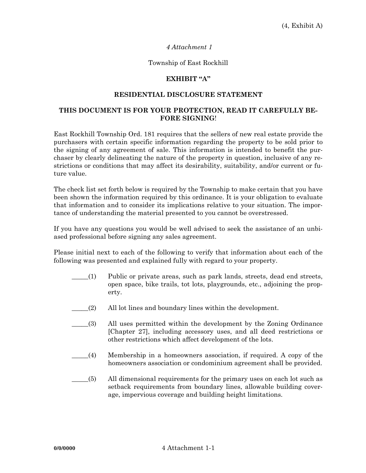# *4 Attachment 1*

### Township of East Rockhill

# **EXHIBIT "A"**

### **RESIDENTIAL DISCLOSURE STATEMENT**

# **THIS DOCUMENT IS FOR YOUR PROTECTION, READ IT CAREFULLY BE-FORE SIGNING**!

East Rockhill Township Ord. 181 requires that the sellers of new real estate provide the purchasers with certain specific information regarding the property to be sold prior to the signing of any agreement of sale. This information is intended to benefit the purchaser by clearly delineating the nature of the property in question, inclusive of any restrictions or conditions that may affect its desirability, suitability, and/or current or future value.

The check list set forth below is required by the Township to make certain that you have been shown the information required by this ordinance. It is your obligation to evaluate that information and to consider its implications relative to your situation. The importance of understanding the material presented to you cannot be overstressed.

If you have any questions you would be well advised to seek the assistance of an unbiased professional before signing any sales agreement.

Please initial next to each of the following to verify that information about each of the following was presented and explained fully with regard to your property.

- \_\_\_\_\_(1) Public or private areas, such as park lands, streets, dead end streets, open space, bike trails, tot lots, playgrounds, etc., adjoining the property.
- \_\_\_\_\_(2) All lot lines and boundary lines within the development.
- \_\_\_\_\_(3) All uses permitted within the development by the Zoning Ordinance [Chapter 27], including accessory uses, and all deed restrictions or other restrictions which affect development of the lots.
- \_\_\_\_\_(4) Membership in a homeowners association, if required. A copy of the homeowners association or condominium agreement shall be provided.
- \_\_\_\_\_(5) All dimensional requirements for the primary uses on each lot such as setback requirements from boundary lines, allowable building coverage, impervious coverage and building height limitations.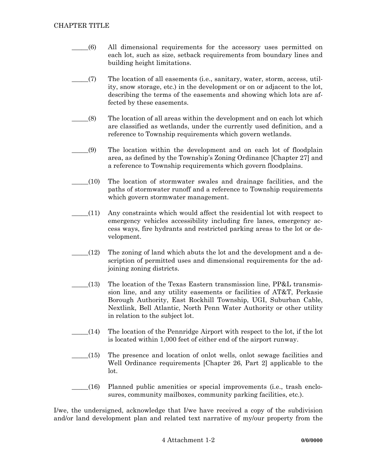- \_\_\_\_\_(6) All dimensional requirements for the accessory uses permitted on each lot, such as size, setback requirements from boundary lines and building height limitations.
- \_\_\_\_\_(7) The location of all easements (i.e., sanitary, water, storm, access, utility, snow storage, etc.) in the development or on or adjacent to the lot, describing the terms of the easements and showing which lots are affected by these easements.
- \_\_\_\_\_(8) The location of all areas within the development and on each lot which are classified as wetlands, under the currently used definition, and a reference to Township requirements which govern wetlands.
- \_\_\_\_\_(9) The location within the development and on each lot of floodplain area, as defined by the Township's Zoning Ordinance [Chapter 27] and a reference to Township requirements which govern floodplains.
- \_\_\_\_\_(10) The location of stormwater swales and drainage facilities, and the paths of stormwater runoff and a reference to Township requirements which govern stormwater management.
- \_\_\_\_\_(11) Any constraints which would affect the residential lot with respect to emergency vehicles accessibility including fire lanes, emergency access ways, fire hydrants and restricted parking areas to the lot or development.
- $(12)$  The zoning of land which abuts the lot and the development and a description of permitted uses and dimensional requirements for the adjoining zoning districts.
- $(13)$  The location of the Texas Eastern transmission line, PP&L transmission line, and any utility easements or facilities of AT&T, Perkasie Borough Authority, East Rockhill Township, UGI, Suburban Cable, Nextlink, Bell Atlantic, North Penn Water Authority or other utility in relation to the subject lot.
- $(14)$  The location of the Pennridge Airport with respect to the lot, if the lot is located within 1,000 feet of either end of the airport runway.
- \_\_\_\_\_(15) The presence and location of onlot wells, onlot sewage facilities and Well Ordinance requirements [Chapter 26, Part 2] applicable to the lot.
- \_\_\_\_\_(16) Planned public amenities or special improvements (i.e., trash enclosures, community mailboxes, community parking facilities, etc.).

I/we, the undersigned, acknowledge that I/we have received a copy of the subdivision and/or land development plan and related text narrative of my/our property from the